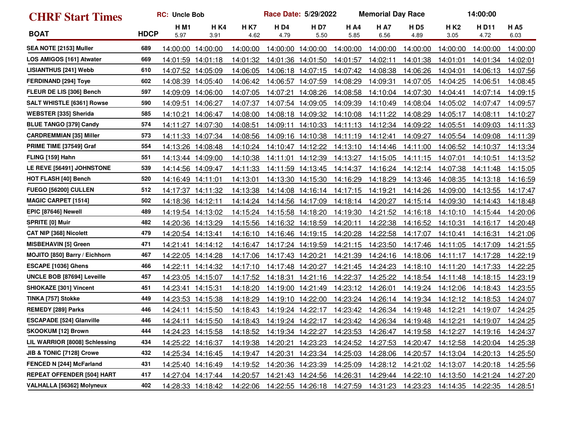| <b>CHRF Start Times</b>           |             | <b>RC: Uncle Bob</b> |                    | Race Date: 5/29/2022<br><b>Memorial Day Race</b> |                              |                    |                     |                    |                              |                          | 14:00:00     |                     |  |
|-----------------------------------|-------------|----------------------|--------------------|--------------------------------------------------|------------------------------|--------------------|---------------------|--------------------|------------------------------|--------------------------|--------------|---------------------|--|
| <b>BOAT</b>                       | <b>HDCP</b> | HM1<br>5.97          | <b>HK4</b><br>3.91 | <b>HK7</b><br>4.62                               | <b>HD4</b><br>4.79           | <b>HD7</b><br>5.50 | <b>H A4</b><br>5.85 | <b>HA7</b><br>6.56 | <b>HD5</b><br>4.89           | H K <sub>2</sub><br>3.05 | HD11<br>4.72 | <b>H A5</b><br>6.03 |  |
| SEA NOTE [2153] Muller            | 689         | 14:00:00             | 14:00:00           | 14:00:00                                         |                              | 14:00:00 14:00:00  | 14:00:00            | 14:00:00           | 14:00:00                     | 14:00:00                 | 14:00:00     | 14:00:00            |  |
| LOS AMIGOS [161] Atwater          | 669         | 14:01:59             | 14:01:18           | 14:01:32                                         |                              | 14:01:36 14:01:50  | 14:01:57            | 14:02:11           | 14:01:38                     | 14:01:01                 | 14:01:34     | <u>14:02:01</u>     |  |
| <b>LISIANTHUS [241] Webb</b>      | 610         | 14:07:52             | 14:05:09           | 14:06:05                                         |                              | 14:06:18 14:07:15  | 14:07:42            | 14:08:38           | 14:06:26                     | 14:04:01                 | 14:06:13     | 14:07:56            |  |
| <b>FERDINAND [294] Toye</b>       | 602         |                      | 14:08:39 14:05:40  | 14:06:42                                         |                              | 14:06:57 14:07:59  | 14:08:29            | 14:09:31           | 14:07:05                     | 14:04:25                 | 14:06:51     | 14:08:45            |  |
| FLEUR DE LIS [306] Bench          | 597         | 14:09:09             | 14:06:00           | 14:07:05                                         | 14:07:21                     | 14:08:26           | 14:08:58            | 14:10:04           | 14:07:30                     | 14:04:41                 | 14:07:14     | <u>14:09:15</u>     |  |
| <b>SALT WHISTLE [6361] Rowse</b>  | 590         | 14:09:51             | 14:06:27           | 14:07:37                                         |                              | 14:07:54 14:09:05  | 14:09:39            | 14:10:49           | 14:08:04                     | 14:05:02                 | 14:07:47     | 14:09:57            |  |
| WEBSTER [335] Sherida             | 585         | 14:10:21             | 14:06:47           | 14:08:00                                         |                              | 14:08:18 14:09:32  | 14:10:08            | 14:11:22           | 14:08:29                     | 14:05:17                 | 14:08:11     | 14:10:27            |  |
| <b>BLUE TANGO [379] Candy</b>     | 574         | 14:11:27             | 14:07:30           | 14:08:51                                         |                              | 14:09:11 14:10:33  | 14:11:13            | 14:12:34           | 14:09:22                     | 14:05:51                 | 14:09:03     | <u>14:11:33</u>     |  |
| <b>CARDREMMIAN [35] Miller</b>    | 573         | 14:11:33             | 14:07:34           | 14:08:56                                         |                              | 14:09:16 14:10:38  | 14:11:19            | 14:12:41           | 14:09:27                     | 14:05:54                 | 14:09:08     | <u>14:11:39</u>     |  |
| PRIME TIME [37549] Graf           | 554         | 14:13:26             | 14:08:48           | 14:10:24                                         |                              | 14:10:47 14:12:22  | 14:13:10            | 14:14:46           | 14:11:00                     | 14:06:52                 | 14:10:37     | 14:13:34            |  |
| FLING [159] Hahn                  | 551         | 14:13:44 14:09:00    |                    | 14:10:38                                         |                              | 14:11:01 14:12:39  | 14:13:27            | 14:15:05           | 14:11:15                     | 14:07:01                 | 14:10:51     | 14:13:52            |  |
| LE REVE [56491] JOHNSTONE         | 539         |                      | 14:14:56 14:09:47  | 14:11:33                                         |                              | 14:11:59 14:13:45  | 14:14:37            | 14:16:24           | 14:12:14                     | 14:07:38                 | 14:11:48     | <u>14:15:05</u>     |  |
| <b>HOT FLASH [40] Bench</b>       | 520         | 14:16:49             | 14:11:01           | 14:13:01                                         |                              | 14:13:30 14:15:30  | 14:16:29            | 14:18:29           | 14:13:46                     | 14:08:35                 | 14:13:18     | <u>14:16:59</u>     |  |
| <b>FUEGO [56200] CULLEN</b>       | 512         |                      | 14:17:37 14:11:32  | 14:13:38                                         |                              | 14:14:08 14:16:14  | 14:17:15            | 14:19:21           | 14:14:26                     | 14:09:00                 | 14:13:55     | 14:17:47            |  |
| <b>MAGIC CARPET [1514]</b>        | 502         | 14:18:36             | 14:12:11           | 14:14:24                                         |                              | 14:14:56 14:17:09  | 14:18:14            | 14:20:27           | 14:15:14                     | 14:09:30                 | 14:14:43     | 14:18:48            |  |
| EPIC [87646] Newell               | 489         |                      | 14:19:54 14:13:02  | 14:15:24                                         |                              | 14:15:58 14:18:20  | 14:19:30            | 14:21:52           | 14:16:18                     | 14:10:10                 | 14:15:44     | 14:20:06            |  |
| <b>SPRITE [0] Muir</b>            | 482         | 14:20:36             | 14:13:29           | 14:15:56                                         |                              | 14:16:32 14:18:59  | 14:20:11            | 14:22:38           | 14:16:52                     | 14:10:31                 | 14:16:17     | 14:20:48            |  |
| CAT NIP [368] Nicolett            | 479         | 14:20:54 14:13:41    |                    | 14:16:10                                         |                              | 14:16:46 14:19:15  | 14:20:28            | 14:22:58           | 14:17:07                     | 14:10:41                 | 14:16:31     | 14:21:06            |  |
| <b>MISBEHAVIN [5] Green</b>       | 471         | 14:21:41             | 14:14:12           | 14:16:47                                         |                              | 14:17:24 14:19:59  | 14:21:15            | 14:23:50           | 14:17:46                     | 14:11:05                 | 14:17:09     | 14:21:55            |  |
| MOJITO [850] Barry / Eichhorn     | 467         |                      | 14:22:05 14:14:28  | 14:17:06                                         | 14:17:43 14:20:21            |                    | 14:21:39            | 14:24:16           | 14:18:06                     | 14:11:17                 | 14:17:28     | <u>14:22:19</u>     |  |
| ESCAPE [1036] Ghens               | 466         | 14:22:11             | 14:14:32           | 14:17:10                                         |                              | 14:17:48 14:20:27  | 14:21:45            | 14:24:23           | 14:18:10                     | 14:11:20                 | 14:17:33     | 14:22:25            |  |
| UNCLE BOB [87694] Leveille        | 457         | 14:23:05             | 14:15:07           | 14:17:52                                         |                              | 14:18:31 14:21:16  | 14:22:37            | 14:25:22           | 14:18:54                     | 14:11:48                 | 14:18:15     | 14:23:19            |  |
| SHIOKAZE [301] Vincent            | 451         | 14:23:41             | 14:15:31           | 14:18:20                                         |                              | 14:19:00 14:21:49  | 14:23:12            | 14:26:01           | 14:19:24                     | 14:12:06                 | 14:18:43     | 14:23:55            |  |
| TINKA [757] Stokke                | 449         | 14:23:53             | 14:15:38           | 14:18:29                                         |                              | 14:19:10 14:22:00  | 14:23:24            | 14:26:14           | 14:19:34                     | 14:12:12                 | 14:18:53     | 14:24:07            |  |
| <b>REMEDY [289] Parks</b>         | 446         | 14:24:11             | 14:15:50           | 14:18:43                                         |                              | 14:19:24 14:22:17  | 14:23:42            | 14:26:34           | 14:19:48                     | 14:12:21                 | 14:19:07     | 14:24:25            |  |
| <b>ESCAPADE [524] Glanville</b>   | 446         | 14:24:11             | 14:15:50           | 14:18:43                                         |                              | 14:19:24 14:22:17  | 14:23:42            | 14:26:34           | 14:19:48                     | 14:12:21                 | 14:19:07     | 14:24:25            |  |
| SKOOKUM [12] Brown                | 444         |                      | 14:24:23 14:15:58  | 14:18:52                                         |                              | 14:19:34 14:22:27  | 14:23:53            |                    | 14:26:47  14:19:58  14:12:27 |                          | 14:19:16     | 14:24:37            |  |
| LIL WARRIOR [8008] Schlessing     | 434         |                      | 14:25:22 14:16:37  |                                                  | 14:19:38  14:20:21  14:23:23 |                    | 14:24:52            | 14:27:53           | 14:20:47                     | 14:12:58                 | 14:20:04     | 14:25:38            |  |
| JIB & TONIC [7128] Crowe          | 432         |                      | 14:25:34 14:16:45  | 14:19:47                                         |                              | 14:20:31 14:23:34  | 14:25:03            | 14:28:06           | 14:20:57                     | 14:13:04                 | 14:20:13     | 14:25:50            |  |
| FENCED N [244] McFarland          | 431         |                      | 14:25:40 14:16:49  |                                                  | 14:19:52  14:20:36  14:23:39 |                    | 14:25:09            | 14:28:12           | 14:21:02                     | 14:13:07                 | 14:20:18     | 14:25:56            |  |
| <b>REPEAT OFFENDER [504] HART</b> | 417         |                      | 14:27:04 14:17:44  | 14:20:57                                         |                              | 14:21:43 14:24:56  | 14:26:31            |                    | 14:29:44 14:22:10            | 14:13:50                 | 14:21:24     | 14:27:20            |  |
| VALHALLA [56362] Molyneux         | 402         |                      | 14:28:33 14:18:42  | 14:22:06                                         |                              | 14:22:55 14:26:18  | 14:27:59            | 14:31:23           | 14:23:23                     | 14:14:35                 | 14:22:35     | 14:28:51            |  |